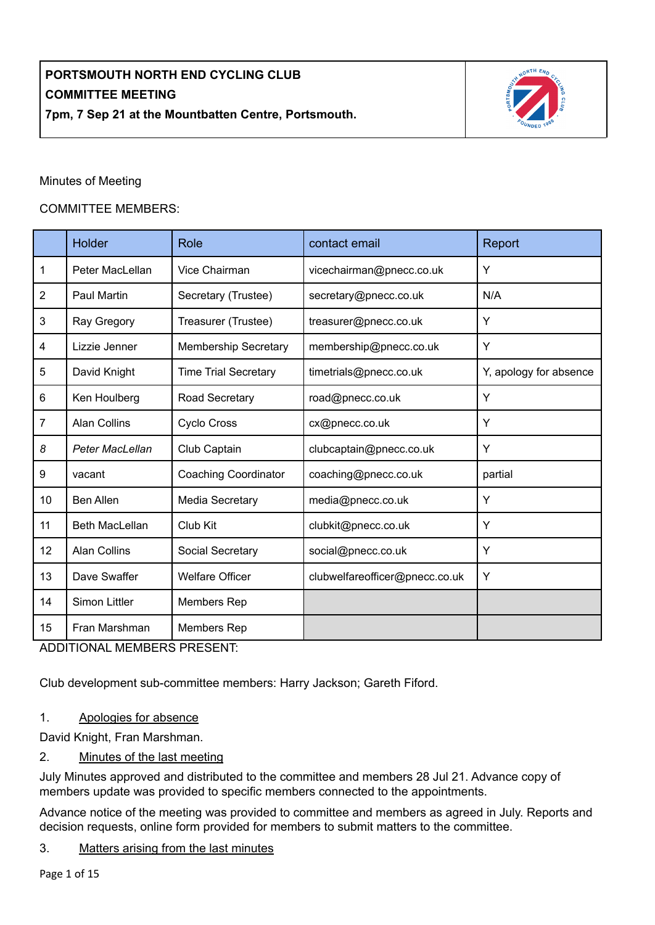

### Minutes of Meeting

### COMMITTEE MEMBERS:

|                | <b>Holder</b>         | Role                        | contact email                  | Report                 |
|----------------|-----------------------|-----------------------------|--------------------------------|------------------------|
| 1              | Peter MacLellan       | Vice Chairman               | vicechairman@pnecc.co.uk       | Y                      |
| $\overline{2}$ | <b>Paul Martin</b>    | Secretary (Trustee)         | secretary@pnecc.co.uk          | N/A                    |
| 3              | Ray Gregory           | Treasurer (Trustee)         | treasurer@pnecc.co.uk          | Y                      |
| 4              | Lizzie Jenner         | Membership Secretary        | membership@pnecc.co.uk         | Y                      |
| 5              | David Knight          | <b>Time Trial Secretary</b> | timetrials@pnecc.co.uk         | Y, apology for absence |
| 6              | Ken Houlberg          | Road Secretary              | road@pnecc.co.uk               | Y                      |
| 7              | <b>Alan Collins</b>   | Cyclo Cross                 | cx@pnecc.co.uk                 | Y                      |
| 8              | Peter MacLellan       | Club Captain                | clubcaptain@pnecc.co.uk        | Y                      |
| 9              | vacant                | <b>Coaching Coordinator</b> | coaching@pnecc.co.uk           | partial                |
| 10             | Ben Allen             | Media Secretary             | media@pnecc.co.uk              | Y                      |
| 11             | <b>Beth MacLellan</b> | Club Kit                    | clubkit@pnecc.co.uk            | Y                      |
| 12             | <b>Alan Collins</b>   | Social Secretary            | social@pnecc.co.uk             | Y                      |
| 13             | Dave Swaffer          | <b>Welfare Officer</b>      | clubwelfareofficer@pnecc.co.uk | Y                      |
| 14             | Simon Littler         | Members Rep                 |                                |                        |
| 15             | Fran Marshman         | <b>Members Rep</b>          |                                |                        |

ADDITIONAL MEMBERS PRESENT:

Club development sub-committee members: Harry Jackson; Gareth Fiford.

### 1. Apologies for absence

David Knight, Fran Marshman.

### 2. Minutes of the last meeting

July Minutes approved and distributed to the committee and members 28 Jul 21. Advance copy of members update was provided to specific members connected to the appointments.

Advance notice of the meeting was provided to committee and members as agreed in July. Reports and decision requests, online form provided for members to submit matters to the committee.

#### 3. Matters arising from the last minutes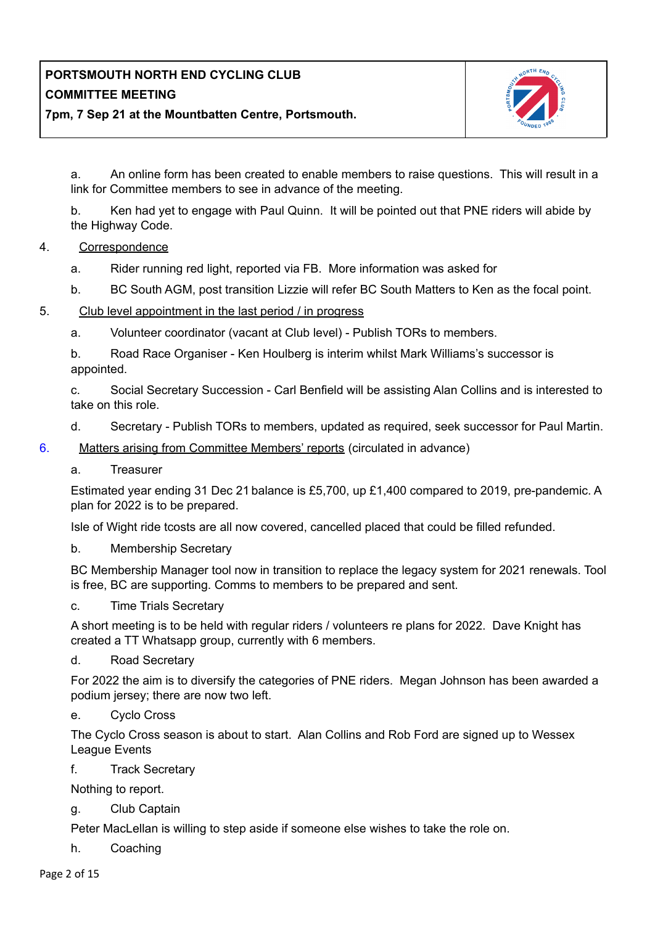

**7pm, 7 Sep 21 at the Mountbatten Centre, Portsmouth.**

a. An online form has been created to enable members to raise questions. This will result in a link for Committee members to see in advance of the meeting.

b. Ken had yet to engage with Paul Quinn. It will be pointed out that PNE riders will abide by the Highway Code.

### 4. Correspondence

- a. Rider running red light, reported via FB. More information was asked for
- b. BC South AGM, post transition Lizzie will refer BC South Matters to Ken as the focal point.

### 5. Club level appointment in the last period / in progress

a. Volunteer coordinator (vacant at Club level) - Publish TORs to members.

b. Road Race Organiser - Ken Houlberg is interim whilst Mark Williams's successor is appointed.

c. Social Secretary Succession - Carl Benfield will be assisting Alan Collins and is interested to take on this role.

d. Secretary - Publish TORs to members, updated as required, seek successor for Paul Martin.

### 6. Matters arising from Committee Members' reports (circulated in advance)

a. Treasurer

Estimated year ending 31 Dec 21 balance is £5,700, up £1,400 compared to 2019, pre-pandemic. A plan for 2022 is to be prepared.

Isle of Wight ride tcosts are all now covered, cancelled placed that could be filled refunded.

b. Membership Secretary

BC Membership Manager tool now in transition to replace the legacy system for 2021 renewals. Tool is free, BC are supporting. Comms to members to be prepared and sent.

c. Time Trials Secretary

A short meeting is to be held with regular riders / volunteers re plans for 2022. Dave Knight has created a TT Whatsapp group, currently with 6 members.

### d. Road Secretary

For 2022 the aim is to diversify the categories of PNE riders. Megan Johnson has been awarded a podium jersey; there are now two left.

e. Cyclo Cross

The Cyclo Cross season is about to start. Alan Collins and Rob Ford are signed up to Wessex League Events

f. Track Secretary

Nothing to report.

g. Club Captain

Peter MacLellan is willing to step aside if someone else wishes to take the role on.

h. Coaching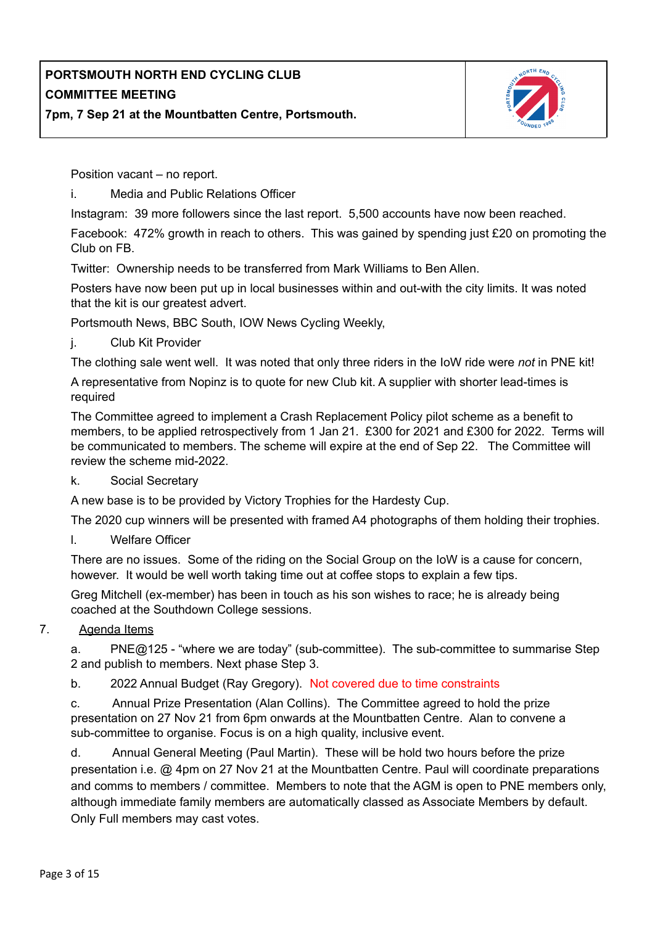

Position vacant – no report.

i. Media and Public Relations Officer

Instagram: 39 more followers since the last report. 5,500 accounts have now been reached.

Facebook: 472% growth in reach to others. This was gained by spending just £20 on promoting the Club on FB.

Twitter: Ownership needs to be transferred from Mark Williams to Ben Allen.

Posters have now been put up in local businesses within and out-with the city limits. It was noted that the kit is our greatest advert.

Portsmouth News, BBC South, IOW News Cycling Weekly,

j. Club Kit Provider

The clothing sale went well. It was noted that only three riders in the IoW ride were *not* in PNE kit!

A representative from Nopinz is to quote for new Club kit. A supplier with shorter lead-times is required

The Committee agreed to implement a Crash Replacement Policy pilot scheme as a benefit to members, to be applied retrospectively from 1 Jan 21. £300 for 2021 and £300 for 2022. Terms will be communicated to members. The scheme will expire at the end of Sep 22. The Committee will review the scheme mid-2022.

k. Social Secretary

A new base is to be provided by Victory Trophies for the Hardesty Cup.

The 2020 cup winners will be presented with framed A4 photographs of them holding their trophies.

l. Welfare Officer

There are no issues. Some of the riding on the Social Group on the IoW is a cause for concern, however. It would be well worth taking time out at coffee stops to explain a few tips.

Greg Mitchell (ex-member) has been in touch as his son wishes to race; he is already being coached at the Southdown College sessions.

## 7. Agenda Items

a. PNE@125 - "where we are today" (sub-committee). The sub-committee to summarise Step 2 and publish to members. Next phase Step 3.

b. 2022 Annual Budget (Ray Gregory). Not covered due to time constraints

c. Annual Prize Presentation (Alan Collins). The Committee agreed to hold the prize presentation on 27 Nov 21 from 6pm onwards at the Mountbatten Centre. Alan to convene a sub-committee to organise. Focus is on a high quality, inclusive event.

d. Annual General Meeting (Paul Martin). These will be hold two hours before the prize presentation i.e. @ 4pm on 27 Nov 21 at the Mountbatten Centre. Paul will coordinate preparations and comms to members / committee. Members to note that the AGM is open to PNE members only, although immediate family members are automatically classed as Associate Members by default. Only Full members may cast votes.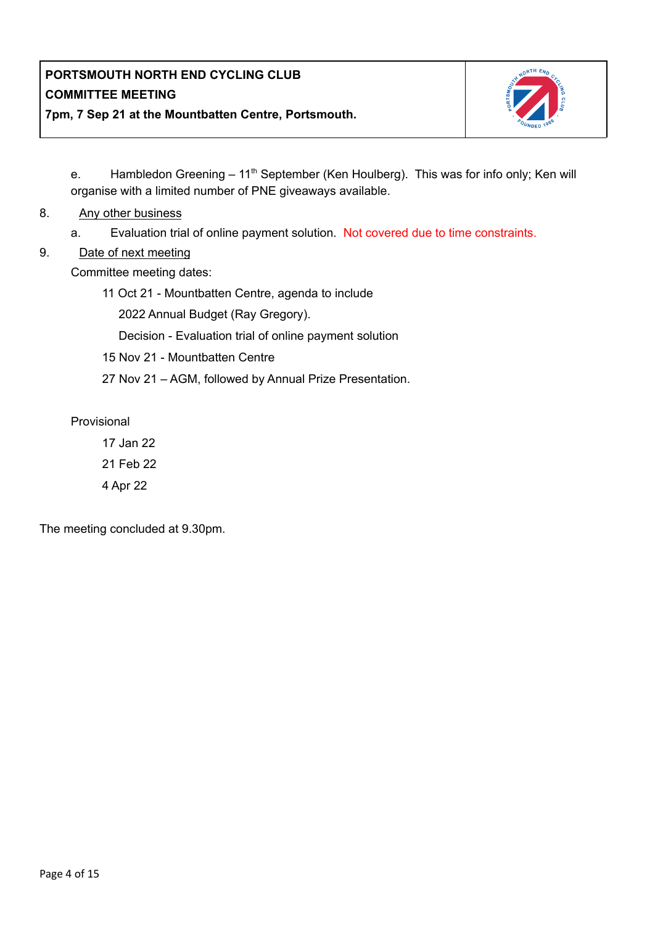

**7pm, 7 Sep 21 at the Mountbatten Centre, Portsmouth.**

e. Hambledon Greening – 11<sup>th</sup> September (Ken Houlberg). This was for info only; Ken will organise with a limited number of PNE giveaways available.

### 8. Any other business

a. Evaluation trial of online payment solution. Not covered due to time constraints.

9. Date of next meeting

Committee meeting dates:

11 Oct 21 - Mountbatten Centre, agenda to include

2022 Annual Budget (Ray Gregory).

Decision - Evaluation trial of online payment solution

15 Nov 21 - Mountbatten Centre

27 Nov 21 – AGM, followed by Annual Prize Presentation.

Provisional

The meeting concluded at 9.30pm.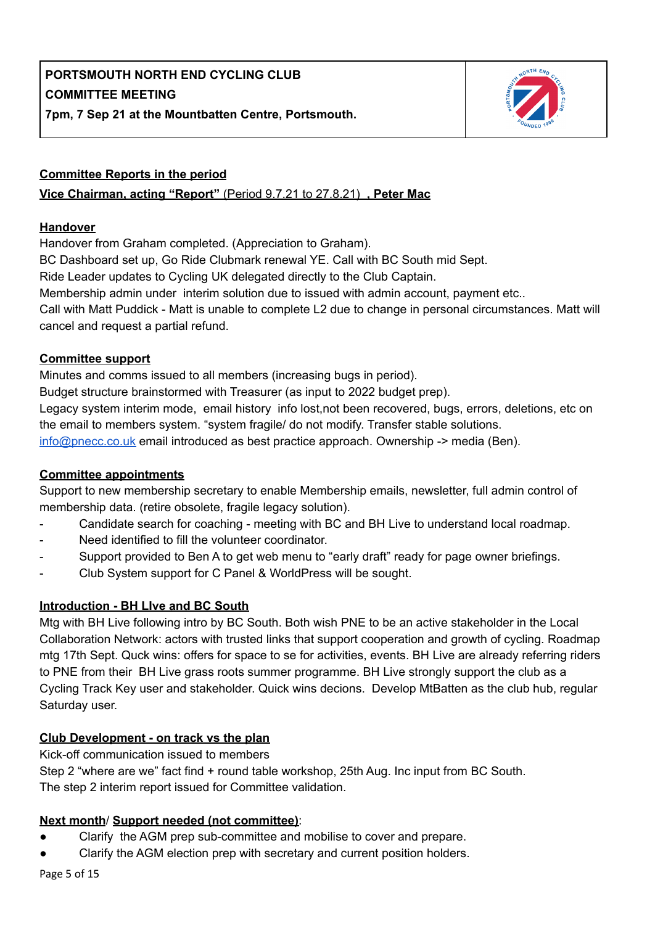

## **Committee Reports in the period Vice Chairman, acting "Report"** (Period 9.7.21 to 27.8.21) **, Peter Mac**

### **Handover**

Handover from Graham completed. (Appreciation to Graham).

BC Dashboard set up, Go Ride Clubmark renewal YE. Call with BC South mid Sept.

Ride Leader updates to Cycling UK delegated directly to the Club Captain.

Membership admin under interim solution due to issued with admin account, payment etc..

Call with Matt Puddick - Matt is unable to complete L2 due to change in personal circumstances. Matt will cancel and request a partial refund.

### **Committee support**

Minutes and comms issued to all members (increasing bugs in period).

Budget structure brainstormed with Treasurer (as input to 2022 budget prep).

Legacy system interim mode, email history info lost,not been recovered, bugs, errors, deletions, etc on the email to members system. "system fragile/ do not modify. Transfer stable solutions.

[info@pnecc.co.uk](mailto:info@pnecc.co.uk) email introduced as best practice approach. Ownership -> media (Ben).

## **Committee appointments**

Support to new membership secretary to enable Membership emails, newsletter, full admin control of membership data. (retire obsolete, fragile legacy solution).

- Candidate search for coaching meeting with BC and BH Live to understand local roadmap.
- Need identified to fill the volunteer coordinator.
- Support provided to Ben A to get web menu to "early draft" ready for page owner briefings.
- Club System support for C Panel & WorldPress will be sought.

## **Introduction - BH LIve and BC South**

Mtg with BH Live following intro by BC South. Both wish PNE to be an active stakeholder in the Local Collaboration Network: actors with trusted links that support cooperation and growth of cycling. Roadmap mtg 17th Sept. Quck wins: offers for space to se for activities, events. BH Live are already referring riders to PNE from their BH Live grass roots summer programme. BH Live strongly support the club as a Cycling Track Key user and stakeholder. Quick wins decions. Develop MtBatten as the club hub, regular Saturday user.

## **Club Development - on track vs the plan**

Kick-off communication issued to members

Step 2 "where are we" fact find + round table workshop, 25th Aug. Inc input from BC South. The step 2 interim report issued for Committee validation.

## **Next month**/ **Support needed (not committee)**:

- Clarify the AGM prep sub-committee and mobilise to cover and prepare.
- Clarify the AGM election prep with secretary and current position holders.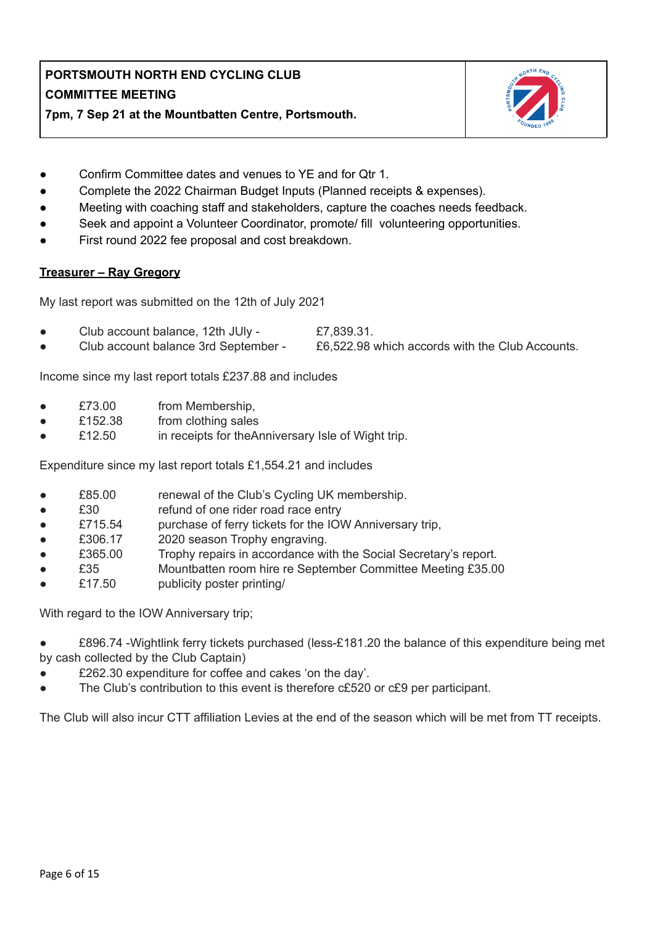

- **7pm, 7 Sep 21 at the Mountbatten Centre, Portsmouth.**
- Confirm Committee dates and venues to YE and for Qtr 1.
- Complete the 2022 Chairman Budget Inputs (Planned receipts & expenses).
- Meeting with coaching staff and stakeholders, capture the coaches needs feedback.
- Seek and appoint a Volunteer Coordinator, promote/ fill volunteering opportunities.
- First round 2022 fee proposal and cost breakdown.

### **Treasurer – Ray Gregory**

My last report was submitted on the 12th of July 2021

- Club account balance,  $12$ th JUly  $E7,839.31$ .
- Club account balance 3rd September  $£6,522.98$  which accords with the Club Accounts.

Income since my last report totals £237.88 and includes

- £73.00 from Membership,
- £152.38 from clothing sales
- £12.50 in receipts for theAnniversary Isle of Wight trip.

Expenditure since my last report totals £1,554.21 and includes

- £85.00 renewal of the Club's Cycling UK membership.
- £30 refund of one rider road race entry
- £715.54 purchase of ferry tickets for the IOW Anniversary trip,
- £306.17 2020 season Trophy engraving.
- £365.00 Trophy repairs in accordance with the Social Secretary's report.
- £35 Mountbatten room hire re September Committee Meeting £35.00
- £17.50 publicity poster printing/

With regard to the IOW Anniversary trip;

- £896.74 -Wightlink ferry tickets purchased (less-£181.20 the balance of this expenditure being met by cash collected by the Club Captain)
- £262.30 expenditure for coffee and cakes 'on the day'.
- The Club's contribution to this event is therefore c£520 or c£9 per participant.

The Club will also incur CTT affiliation Levies at the end of the season which will be met from TT receipts.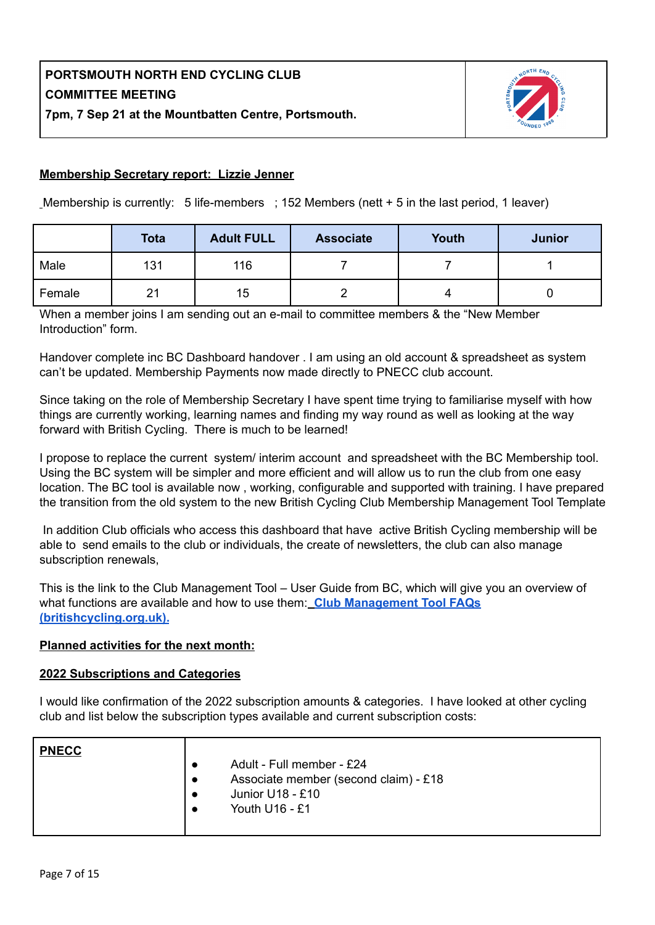

### **Membership Secretary report: Lizzie Jenner**

Membership is currently: 5 life-members ; 152 Members (nett + 5 in the last period, 1 leaver)

|        | <b>Tota</b> | <b>Adult FULL</b> | <b>Associate</b> | Youth | Junior |
|--------|-------------|-------------------|------------------|-------|--------|
| Male   | 131         | 116               |                  |       |        |
| Female | 21          | 15                |                  |       |        |

When a member joins I am sending out an e-mail to committee members & the "New Member Introduction" form.

Handover complete inc BC Dashboard handover . I am using an old account & spreadsheet as system can't be updated. Membership Payments now made directly to PNECC club account.

Since taking on the role of Membership Secretary I have spent time trying to familiarise myself with how things are currently working, learning names and finding my way round as well as looking at the way forward with British Cycling. There is much to be learned!

I propose to replace the current system/ interim account and spreadsheet with the BC Membership tool. Using the BC system will be simpler and more efficient and will allow us to run the club from one easy location. The BC tool is available now , working, configurable and supported with training. I have prepared the transition from the old system to the new British Cycling Club Membership Management Tool Template

In addition Club officials who access this dashboard that have active British Cycling membership will be able to send emails to the club or individuals, the create of newsletters, the club can also manage subscription renewals,

This is the link to the Club Management Tool – User Guide from BC, which will give you an overview of what functions are available and how to use them: **Club [Management](https://www.britishcycling.org.uk/clubs/article/20121115-club-static-Club-Management-Tool-FAQs-0) Tool FAQs [\(britishcycling.org.uk\)](https://www.britishcycling.org.uk/clubs/article/20121115-club-static-Club-Management-Tool-FAQs-0).**

#### **Planned activities for the next month:**

#### **2022 Subscriptions and Categories**

I would like confirmation of the 2022 subscription amounts & categories. I have looked at other cycling club and list below the subscription types available and current subscription costs:

| <b>PNECC</b><br>$\bullet$<br>$\bullet$ | Adult - Full member - £24<br>Associate member (second claim) - £18<br>Junior U18 - £10<br>Youth U16 - £1 |
|----------------------------------------|----------------------------------------------------------------------------------------------------------|
|----------------------------------------|----------------------------------------------------------------------------------------------------------|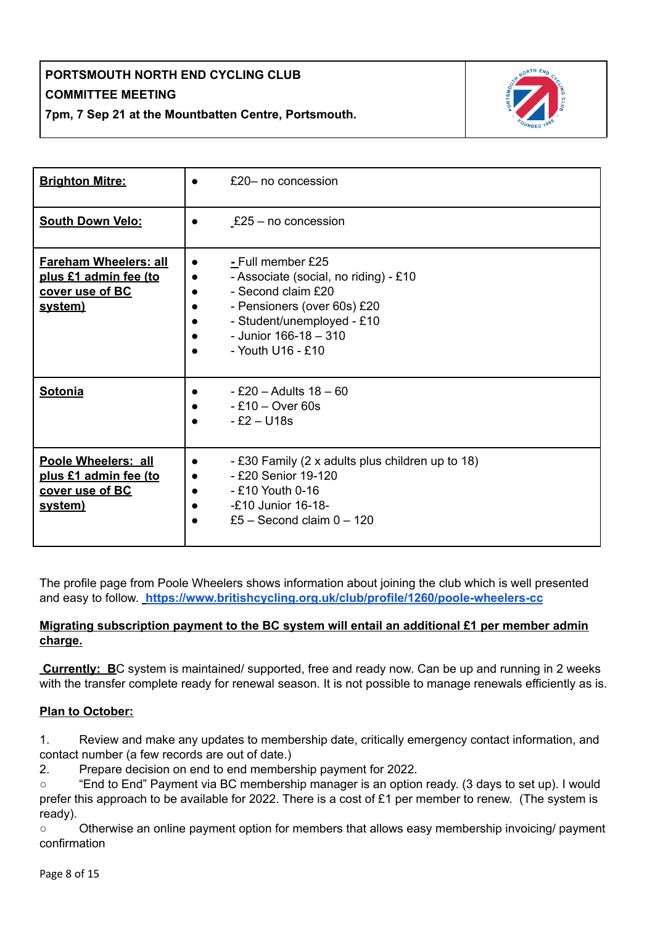

| <b>Brighton Mitre:</b>                                                              | £20- no concession                                                                                                                                                                          |
|-------------------------------------------------------------------------------------|---------------------------------------------------------------------------------------------------------------------------------------------------------------------------------------------|
| <b>South Down Velo:</b>                                                             | $£25 - no$ concession                                                                                                                                                                       |
| <b>Fareham Wheelers: all</b><br>plus £1 admin fee (to<br>cover use of BC<br>system) | - Full member £25<br>- Associate (social, no riding) - £10<br>- Second claim £20<br>- Pensioners (over 60s) £20<br>- Student/unemployed - £10<br>- Junior $166-18-310$<br>- Youth U16 - £10 |
| Sotonia                                                                             | $- E20 -$ Adults 18 - 60<br>$-£10 - Over 60s$<br>$- E2 - U18s$                                                                                                                              |
| Poole Wheelers: all<br>plus £1 admin fee (to<br>cover use of BC<br>system)          | - £30 Family (2 x adults plus children up to 18)<br>- £20 Senior 19-120<br>$-$ £10 Youth 0-16<br>-£10 Junior 16-18-<br>£5 – Second claim $0 - 120$                                          |

The profile page from Poole Wheelers shows information about joining the club which is well presented and easy to follow. **<https://www.britishcycling.org.uk/club/profile/1260/poole-wheelers-cc>**

### **Migrating subscription payment to the BC system will entail an additional £1 per member admin charge.**

**Currently: B**C system is maintained/ supported, free and ready now. Can be up and running in 2 weeks with the transfer complete ready for renewal season. It is not possible to manage renewals efficiently as is.

## **Plan to October:**

1. Review and make any updates to membership date, critically emergency contact information, and contact number (a few records are out of date.)

2. Prepare decision on end to end membership payment for 2022.

○ "End to End" Payment via BC membership manager is an option ready. (3 days to set up). I would prefer this approach to be available for 2022. There is a cost of £1 per member to renew. (The system is ready).

○ Otherwise an online payment option for members that allows easy membership invoicing/ payment confirmation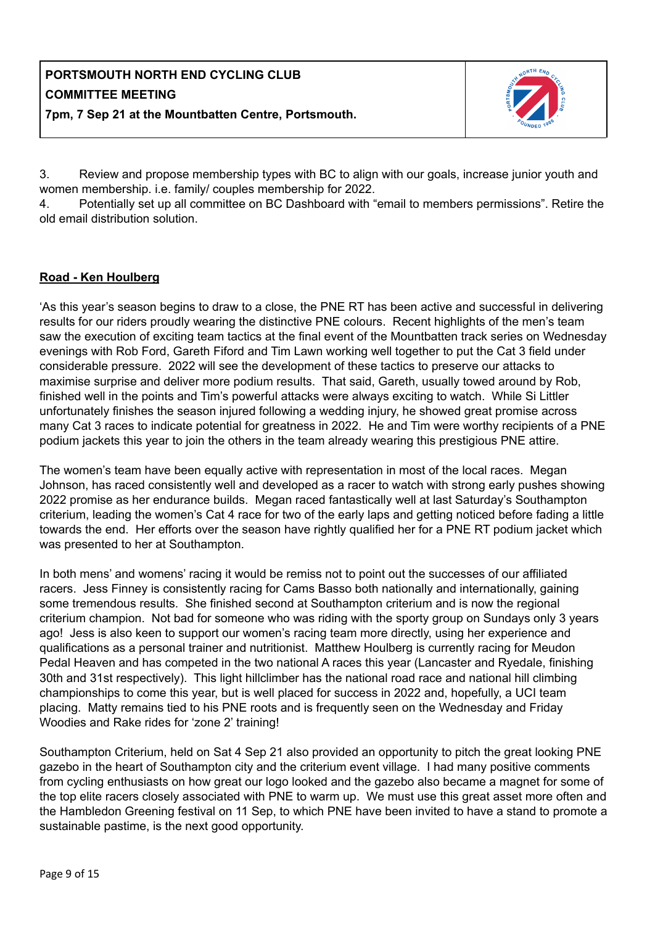

3. Review and propose membership types with BC to align with our goals, increase junior youth and women membership. i.e. family/ couples membership for 2022.

4. Potentially set up all committee on BC Dashboard with "email to members permissions". Retire the old email distribution solution.

### **Road - Ken Houlberg**

'As this year's season begins to draw to a close, the PNE RT has been active and successful in delivering results for our riders proudly wearing the distinctive PNE colours. Recent highlights of the men's team saw the execution of exciting team tactics at the final event of the Mountbatten track series on Wednesday evenings with Rob Ford, Gareth Fiford and Tim Lawn working well together to put the Cat 3 field under considerable pressure. 2022 will see the development of these tactics to preserve our attacks to maximise surprise and deliver more podium results. That said, Gareth, usually towed around by Rob, finished well in the points and Tim's powerful attacks were always exciting to watch. While Si Littler unfortunately finishes the season injured following a wedding injury, he showed great promise across many Cat 3 races to indicate potential for greatness in 2022. He and Tim were worthy recipients of a PNE podium jackets this year to join the others in the team already wearing this prestigious PNE attire.

The women's team have been equally active with representation in most of the local races. Megan Johnson, has raced consistently well and developed as a racer to watch with strong early pushes showing 2022 promise as her endurance builds. Megan raced fantastically well at last Saturday's Southampton criterium, leading the women's Cat 4 race for two of the early laps and getting noticed before fading a little towards the end. Her efforts over the season have rightly qualified her for a PNE RT podium jacket which was presented to her at Southampton.

In both mens' and womens' racing it would be remiss not to point out the successes of our affiliated racers. Jess Finney is consistently racing for Cams Basso both nationally and internationally, gaining some tremendous results. She finished second at Southampton criterium and is now the regional criterium champion. Not bad for someone who was riding with the sporty group on Sundays only 3 years ago! Jess is also keen to support our women's racing team more directly, using her experience and qualifications as a personal trainer and nutritionist. Matthew Houlberg is currently racing for Meudon Pedal Heaven and has competed in the two national A races this year (Lancaster and Ryedale, finishing 30th and 31st respectively). This light hillclimber has the national road race and national hill climbing championships to come this year, but is well placed for success in 2022 and, hopefully, a UCI team placing. Matty remains tied to his PNE roots and is frequently seen on the Wednesday and Friday Woodies and Rake rides for 'zone 2' training!

Southampton Criterium, held on Sat 4 Sep 21 also provided an opportunity to pitch the great looking PNE gazebo in the heart of Southampton city and the criterium event village. I had many positive comments from cycling enthusiasts on how great our logo looked and the gazebo also became a magnet for some of the top elite racers closely associated with PNE to warm up. We must use this great asset more often and the Hambledon Greening festival on 11 Sep, to which PNE have been invited to have a stand to promote a sustainable pastime, is the next good opportunity.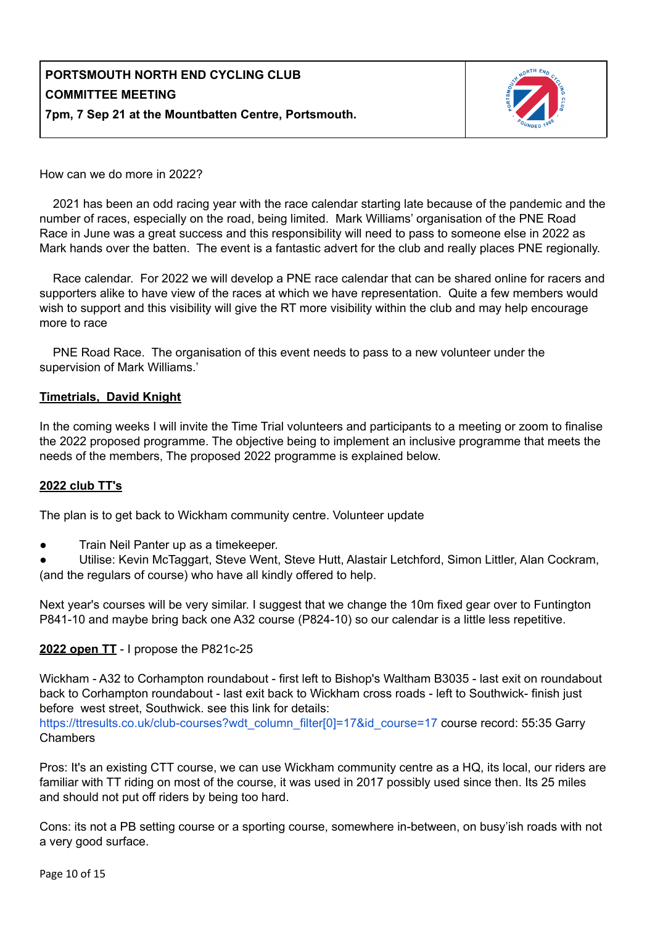

How can we do more in 2022?

2021 has been an odd racing year with the race calendar starting late because of the pandemic and the number of races, especially on the road, being limited. Mark Williams' organisation of the PNE Road Race in June was a great success and this responsibility will need to pass to someone else in 2022 as Mark hands over the batten. The event is a fantastic advert for the club and really places PNE regionally.

Race calendar. For 2022 we will develop a PNE race calendar that can be shared online for racers and supporters alike to have view of the races at which we have representation. Quite a few members would wish to support and this visibility will give the RT more visibility within the club and may help encourage more to race

PNE Road Race. The organisation of this event needs to pass to a new volunteer under the supervision of Mark Williams.'

#### **Timetrials, David Knight**

In the coming weeks I will invite the Time Trial volunteers and participants to a meeting or zoom to finalise the 2022 proposed programme. The objective being to implement an inclusive programme that meets the needs of the members, The proposed 2022 programme is explained below.

#### **2022 club TT's**

The plan is to get back to Wickham community centre. Volunteer update

Train Neil Panter up as a timekeeper.

Utilise: Kevin McTaggart, Steve Went, Steve Hutt, Alastair Letchford, Simon Littler, Alan Cockram, (and the regulars of course) who have all kindly offered to help.

Next year's courses will be very similar. I suggest that we change the 10m fixed gear over to Funtington P841-10 and maybe bring back one A32 course (P824-10) so our calendar is a little less repetitive.

#### **2022 open TT** - I propose the P821c-25

Wickham - A32 to Corhampton roundabout - first left to Bishop's Waltham B3035 - last exit on roundabout back to Corhampton roundabout - last exit back to Wickham cross roads - left to Southwick- finish just before west street, Southwick. see this link for details:

[https://ttresults.co.uk/club-courses?wdt\\_column\\_filter\[0\]=17&id\\_course=17](https://ttresults.co.uk/club-courses?wdt_column_filter%5B0%5D=17&id_course=17) course record: 55:35 Garry **Chambers** 

Pros: It's an existing CTT course, we can use Wickham community centre as a HQ, its local, our riders are familiar with TT riding on most of the course, it was used in 2017 possibly used since then. Its 25 miles and should not put off riders by being too hard.

Cons: its not a PB setting course or a sporting course, somewhere in-between, on busy'ish roads with not a very good surface.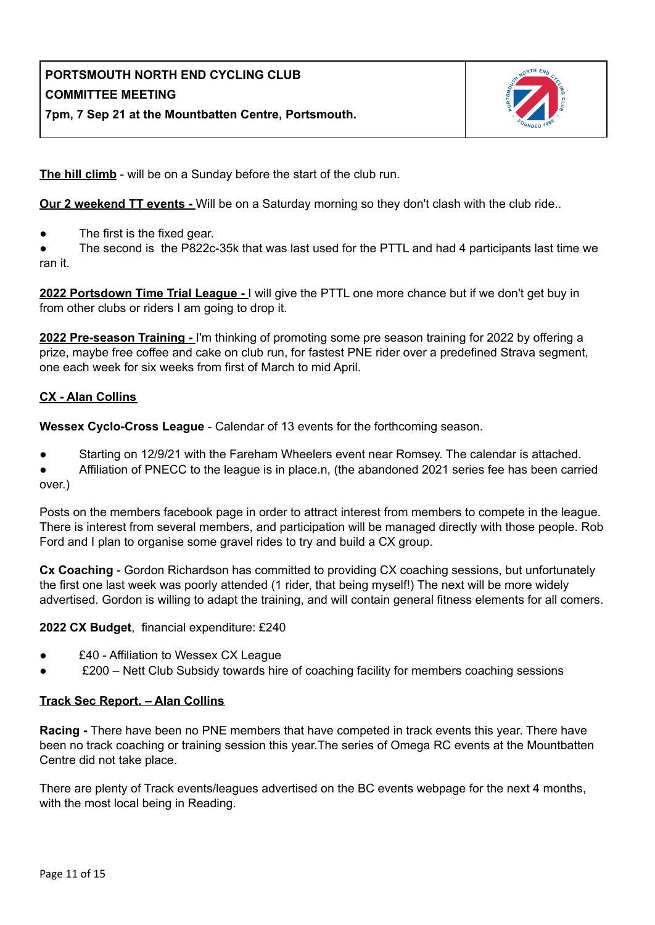

**The hill climb** - will be on a Sunday before the start of the club run.

**Our 2 weekend TT events -** Will be on a Saturday morning so they don't clash with the club ride..

The first is the fixed gear.

● The second is the P822c-35k that was last used for the PTTL and had 4 participants last time we ran it.

**2022 Portsdown Time Trial League -** I will give the PTTL one more chance but if we don't get buy in from other clubs or riders I am going to drop it.

**2022 Pre-season Training -** I'm thinking of promoting some pre season training for 2022 by offering a prize, maybe free coffee and cake on club run, for fastest PNE rider over a predefined Strava segment, one each week for six weeks from first of March to mid April.

### **CX - Alan Collins**

**Wessex Cyclo-Cross League** - Calendar of 13 events for the forthcoming season.

- Starting on 12/9/21 with the Fareham Wheelers event near Romsey. The calendar is attached.
- Affiliation of PNECC to the league is in place.n, (the abandoned 2021 series fee has been carried over.)

Posts on the members facebook page in order to attract interest from members to compete in the league. There is interest from several members, and participation will be managed directly with those people. Rob Ford and I plan to organise some gravel rides to try and build a CX group.

**Cx Coaching** - Gordon Richardson has committed to providing CX coaching sessions, but unfortunately the first one last week was poorly attended (1 rider, that being myself!) The next will be more widely advertised. Gordon is willing to adapt the training, and will contain general fitness elements for all comers.

### **2022 CX Budget**, financial expenditure: £240

- £40 Affiliation to Wessex CX League
- $£200 Net$  Club Subsidy towards hire of coaching facility for members coaching sessions

### **Track Sec Report. – Alan Collins**

**Racing -** There have been no PNE members that have competed in track events this year. There have been no track coaching or training session this year.The series of Omega RC events at the Mountbatten Centre did not take place.

There are plenty of Track events/leagues advertised on the BC events webpage for the next 4 months, with the most local being in Reading.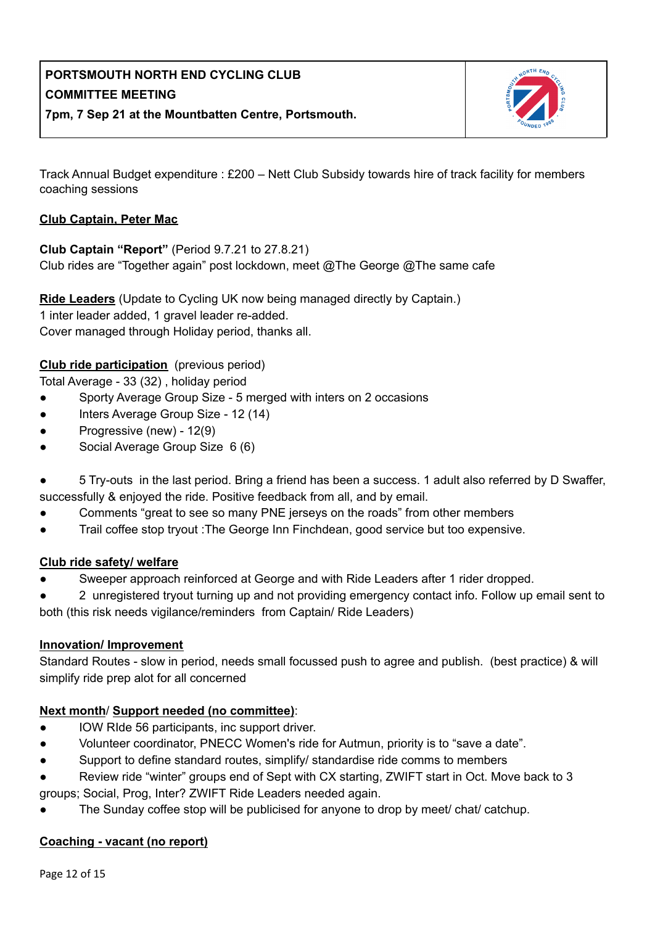

Track Annual Budget expenditure : £200 – Nett Club Subsidy towards hire of track facility for members coaching sessions

### **Club Captain, Peter Mac**

**Club Captain "Report"** (Period 9.7.21 to 27.8.21) Club rides are "Together again" post lockdown, meet @The George @The same cafe

**Ride Leaders** (Update to Cycling UK now being managed directly by Captain.) 1 inter leader added, 1 gravel leader re-added. Cover managed through Holiday period, thanks all.

### **Club ride participation** (previous period)

Total Average - 33 (32) , holiday period

- Sporty Average Group Size 5 merged with inters on 2 occasions
- Inters Average Group Size 12 (14)
- Progressive (new) 12(9)
- Social Average Group Size 6 (6)

5 Try-outs in the last period. Bring a friend has been a success. 1 adult also referred by D Swaffer, successfully & enjoyed the ride. Positive feedback from all, and by email.

- Comments "great to see so many PNE jerseys on the roads" from other members
- Trail coffee stop tryout :The George Inn Finchdean, good service but too expensive.

### **Club ride safety/ welfare**

- Sweeper approach reinforced at George and with Ride Leaders after 1 rider dropped.
- 2 unregistered tryout turning up and not providing emergency contact info. Follow up email sent to both (this risk needs vigilance/reminders from Captain/ Ride Leaders)

### **Innovation/ Improvement**

Standard Routes - slow in period, needs small focussed push to agree and publish. (best practice) & will simplify ride prep alot for all concerned

### **Next month**/ **Support needed (no committee)**:

- IOW RIde 56 participants, inc support driver.
- Volunteer coordinator, PNECC Women's ride for Autmun, priority is to "save a date".
- Support to define standard routes, simplify/ standardise ride comms to members
- Review ride "winter" groups end of Sept with CX starting, ZWIFT start in Oct. Move back to 3 groups; Social, Prog, Inter? ZWIFT Ride Leaders needed again.
- The Sunday coffee stop will be publicised for anyone to drop by meet/ chat/ catchup.

#### **Coaching - vacant (no report)**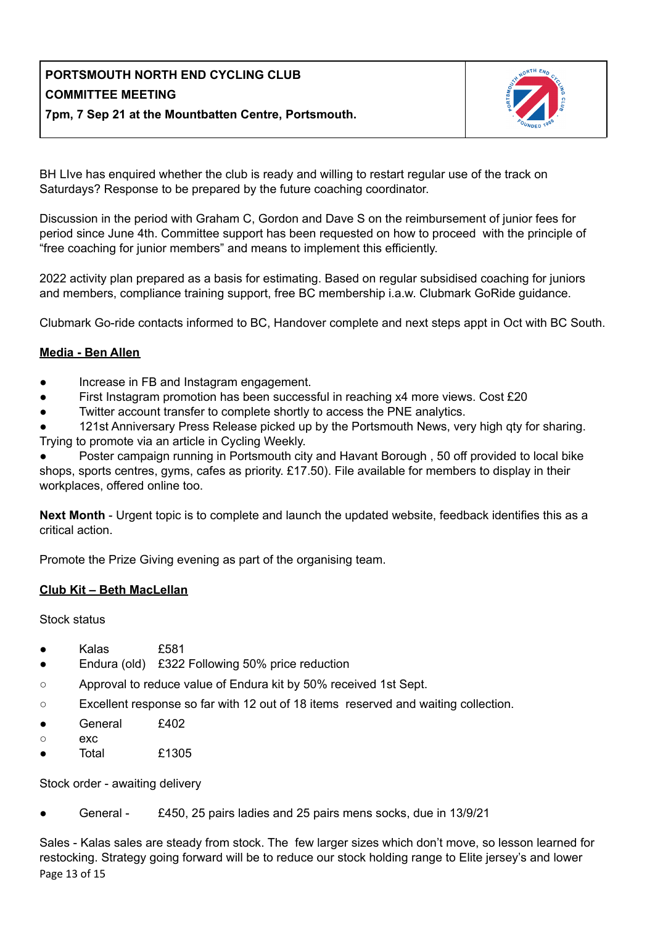

BH LIve has enquired whether the club is ready and willing to restart regular use of the track on Saturdays? Response to be prepared by the future coaching coordinator.

Discussion in the period with Graham C, Gordon and Dave S on the reimbursement of junior fees for period since June 4th. Committee support has been requested on how to proceed with the principle of "free coaching for junior members" and means to implement this efficiently.

2022 activity plan prepared as a basis for estimating. Based on regular subsidised coaching for juniors and members, compliance training support, free BC membership i.a.w. Clubmark GoRide guidance.

Clubmark Go-ride contacts informed to BC, Handover complete and next steps appt in Oct with BC South.

### **Media - Ben Allen**

- Increase in FB and Instagram engagement.
- First Instagram promotion has been successful in reaching x4 more views. Cost £20
- Twitter account transfer to complete shortly to access the PNE analytics.

121st Anniversary Press Release picked up by the Portsmouth News, very high qty for sharing. Trying to promote via an article in Cycling Weekly.

Poster campaign running in Portsmouth city and Havant Borough, 50 off provided to local bike shops, sports centres, gyms, cafes as priority. £17.50). File available for members to display in their workplaces, offered online too.

**Next Month** - Urgent topic is to complete and launch the updated website, feedback identifies this as a critical action.

Promote the Prize Giving evening as part of the organising team.

#### **Club Kit – Beth MacLellan**

Stock status

- Kalas **£581**
- Endura (old) £322 Following 50% price reduction
- Approval to reduce value of Endura kit by 50% received 1st Sept.
- Excellent response so far with 12 out of 18 items reserved and waiting collection.
- General £402
- exc
- Total £1305

Stock order - awaiting delivery

General - £450, 25 pairs ladies and 25 pairs mens socks, due in 13/9/21

Sales - Kalas sales are steady from stock. The few larger sizes which don't move, so lesson learned for restocking. Strategy going forward will be to reduce our stock holding range to Elite jersey's and lower Page 13 of 15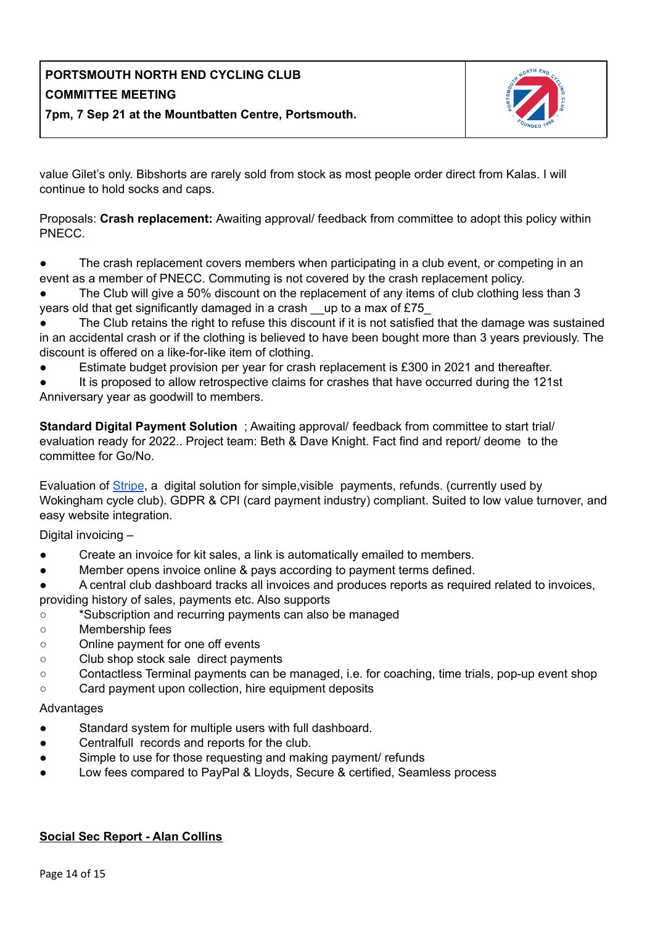

**7pm, 7 Sep 21 at the Mountbatten Centre, Portsmouth.**

value Gilet's only. Bibshorts are rarely sold from stock as most people order direct from Kalas. I will continue to hold socks and caps.

Proposals: **Crash replacement:** Awaiting approval/ feedback from committee to adopt this policy within PNECC.

The crash replacement covers members when participating in a club event, or competing in an event as a member of PNECC. Commuting is not covered by the crash replacement policy.

The Club will give a 50% discount on the replacement of any items of club clothing less than 3 years old that get significantly damaged in a crash up to a max of £75

The Club retains the right to refuse this discount if it is not satisfied that the damage was sustained in an accidental crash or if the clothing is believed to have been bought more than 3 years previously. The discount is offered on a like-for-like item of clothing.

Estimate budget provision per year for crash replacement is £300 in 2021 and thereafter.

It is proposed to allow retrospective claims for crashes that have occurred during the 121st Anniversary year as goodwill to members.

**Standard Digital Payment Solution** ; Awaiting approval/ feedback from committee to start trial/ evaluation ready for 2022.. Project team: Beth & Dave Knight. Fact find and report/ deome to the committee for Go/No.

Evaluation of [Stripe](https://stripe.com/gb%20.), a digital solution for simple, visible payments, refunds. (currently used by Wokingham cycle club). GDPR & CPI (card payment industry) compliant. Suited to low value turnover, and easy website integration.

Digital invoicing –

- Create an invoice for kit sales, a link is automatically emailed to members.
- Member opens invoice online & pays according to payment terms defined.
- A central club dashboard tracks all invoices and produces reports as required related to invoices,

providing history of sales, payments etc. Also supports

- \*Subscription and recurring payments can also be managed
- Membership fees
- Online payment for one off events
- Club shop stock sale direct payments
- Contactless Terminal payments can be managed, i.e. for coaching, time trials, pop-up event shop
- Card payment upon collection, hire equipment deposits

#### Advantages

- Standard system for multiple users with full dashboard.
- Centralfull records and reports for the club.
- Simple to use for those requesting and making payment/ refunds
- Low fees compared to PayPal & Lloyds, Secure & certified, Seamless process

### **Social Sec Report - Alan Collins**